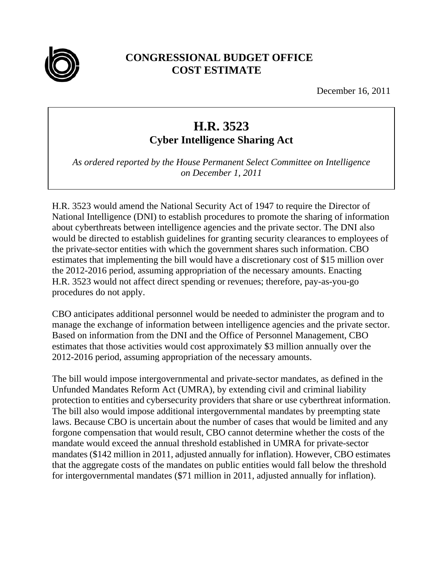

## **CONGRESSIONAL BUDGET OFFICE COST ESTIMATE**

December 16, 2011

## **H.R. 3523**

**Cyber Intelligence Sharing Act** 

*As ordered reported by the House Permanent Select Committee on Intelligence on December 1, 2011* 

H.R. 3523 would amend the National Security Act of 1947 to require the Director of National Intelligence (DNI) to establish procedures to promote the sharing of information about cyberthreats between intelligence agencies and the private sector. The DNI also would be directed to establish guidelines for granting security clearances to employees of the private-sector entities with which the government shares such information. CBO estimates that implementing the bill would have a discretionary cost of \$15 million over the 2012-2016 period, assuming appropriation of the necessary amounts. Enacting H.R. 3523 would not affect direct spending or revenues; therefore, pay-as-you-go procedures do not apply.

CBO anticipates additional personnel would be needed to administer the program and to manage the exchange of information between intelligence agencies and the private sector. Based on information from the DNI and the Office of Personnel Management, CBO estimates that those activities would cost approximately \$3 million annually over the 2012-2016 period, assuming appropriation of the necessary amounts.

The bill would impose intergovernmental and private-sector mandates, as defined in the Unfunded Mandates Reform Act (UMRA), by extending civil and criminal liability protection to entities and cybersecurity providers that share or use cyberthreat information. The bill also would impose additional intergovernmental mandates by preempting state laws. Because CBO is uncertain about the number of cases that would be limited and any forgone compensation that would result, CBO cannot determine whether the costs of the mandate would exceed the annual threshold established in UMRA for private-sector mandates (\$142 million in 2011, adjusted annually for inflation). However, CBO estimates that the aggregate costs of the mandates on public entities would fall below the threshold for intergovernmental mandates (\$71 million in 2011, adjusted annually for inflation).